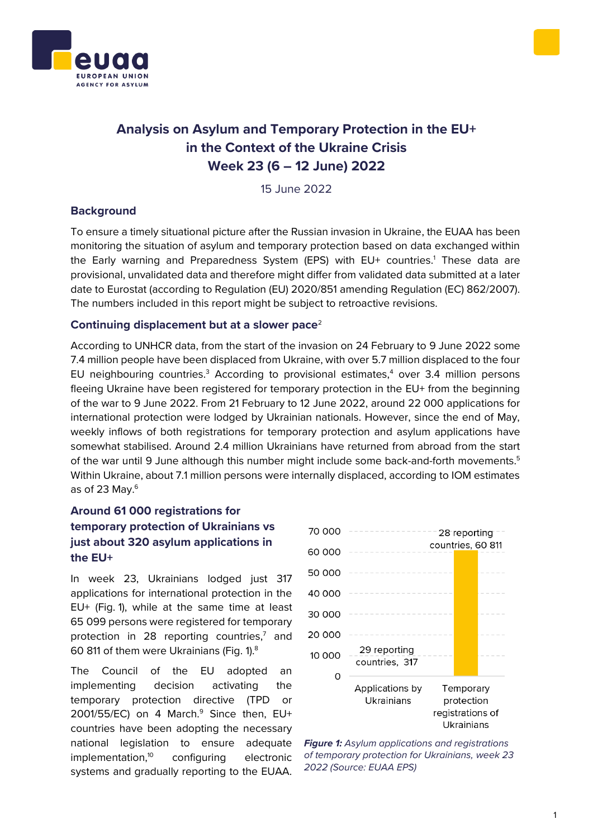



# **Analysis on Asylum and Temporary Protection in the EU+ in the Context of the Ukraine Crisis Week 23 (6 – 12 June) 2022**

15 June 2022

### **Background**

To ensure a timely situational picture after the Russian invasion in Ukraine, the EUAA has been monitoring the situation of asylum and temporary protection based on data exchanged within the Early warning and Preparedness System (EPS) with EU+ countries.<sup>1</sup> These data are provisional, unvalidated data and therefore might differ from validated data submitted at a later date to Eurostat (according to Regulation (EU) 2020/851 amending Regulation (EC) 862/2007). The numbers included in this report might be subject to retroactive revisions.

### **Continuing displacement but at a slower pace**<sup>2</sup>

According to UNHCR data, from the start of the invasion on 24 February to 9 June 2022 some 7.4 million people have been displaced from Ukraine, with over 5.7 million displaced to the four EU neighbouring countries.<sup>3</sup> According to provisional estimates,<sup>4</sup> over 3.4 million persons fleeing Ukraine have been registered for temporary protection in the EU+ from the beginning of the war to 9 June 2022. From 21 February to 12 June 2022, around 22 000 applications for international protection were lodged by Ukrainian nationals. However, since the end of May, weekly inflows of both registrations for temporary protection and asylum applications have somewhat stabilised. Around 2.4 million Ukrainians have returned from abroad from the start of the war until 9 June although this number might include some back-and-forth movements.<sup>5</sup> Within Ukraine, about 7.1 million persons were internally displaced, according to IOM estimates as of 23 May.<sup>6</sup>

# **Around 61 000 registrations for temporary protection of Ukrainians vs just about 320 asylum applications in the EU+**

In week 23, Ukrainians lodged just 317 applications for international protection in the EU+ (Fig. 1), while at the same time at least 65 099 persons were registered for temporary protection in 28 reporting countries,<sup>7</sup> and 60 811 of them were Ukrainians (Fig. 1).<sup>8</sup>

The Council of the EU adopted an implementing decision activating the temporary protection directive (TPD or 2001/55/EC) on 4 March. $9$  Since then, EU+ countries have been adopting the necessary national legislation to ensure adequate implementation,<sup>10</sup> configuring electronic systems and gradually reporting to the EUAA.



*Figure 1: Asylum applications and registrations of temporary protection for Ukrainians, week 23 2022 (Source: EUAA EPS)*